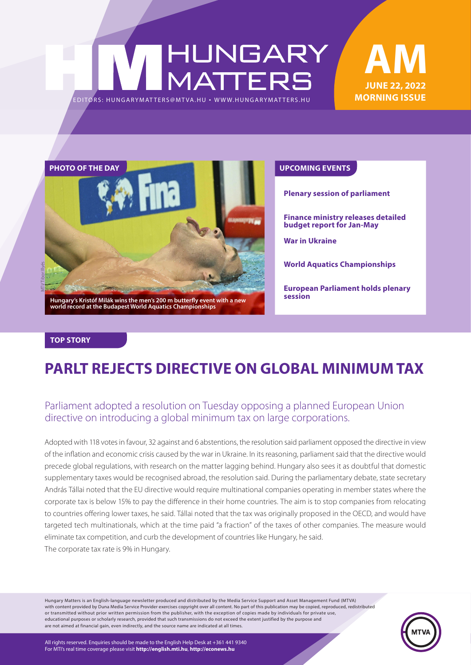# HUNGARY<br>MATTERS EDITORS: HUNGARYMAT TERS@MT VA.HU ¬ WWW.HUNGARYMAT TERS.HU

### **JUNE 22, 2022 MORNING ISSUE AM**



**Plenary session of parliament**

**Finance ministry releases detailed budget report for Jan-May**

**War in Ukraine**

**World Aquatics Championships**

**European Parliament holds plenary session**

#### **TOP STORY**

### **PARLT REJECTS DIRECTIVE ON GLOBAL MINIMUM TAX**

### Parliament adopted a resolution on Tuesday opposing a planned European Union directive on introducing a global minimum tax on large corporations.

Adopted with 118 votes in favour, 32 against and 6 abstentions, the resolution said parliament opposed the directive in view of the inflation and economic crisis caused by the war in Ukraine. In its reasoning, parliament said that the directive would precede global regulations, with research on the matter lagging behind. Hungary also sees it as doubtful that domestic supplementary taxes would be recognised abroad, the resolution said. During the parliamentary debate, state secretary András Tállai noted that the EU directive would require multinational companies operating in member states where the corporate tax is below 15% to pay the difference in their home countries. The aim is to stop companies from relocating to countries offering lower taxes, he said. Tállai noted that the tax was originally proposed in the OECD, and would have targeted tech multinationals, which at the time paid "a fraction" of the taxes of other companies. The measure would eliminate tax competition, and curb the development of countries like Hungary, he said. The corporate tax rate is 9% in Hungary.

Hungary Matters is an English-language newsletter produced and distributed by the Media Service Support and Asset Management Fund (MTVA) with content provided by Duna Media Service Provider exercises copyright over all content. No part of this publication may be copied, reproduced, redistributed or transmitted without prior written permission from the publisher, with the exception of copies made by individuals for private use, educational purposes or scholarly research, provided that such transmissions do not exceed the extent justified by the purpose and are not aimed at financial gain, even indirectly, and the source name are indicated at all times.



All rights reserved. Enquiries should be made to the English Help Desk at +361 441 9340 For MTI's real time coverage please visit **http://english.mti.hu**, **http://econews.hu**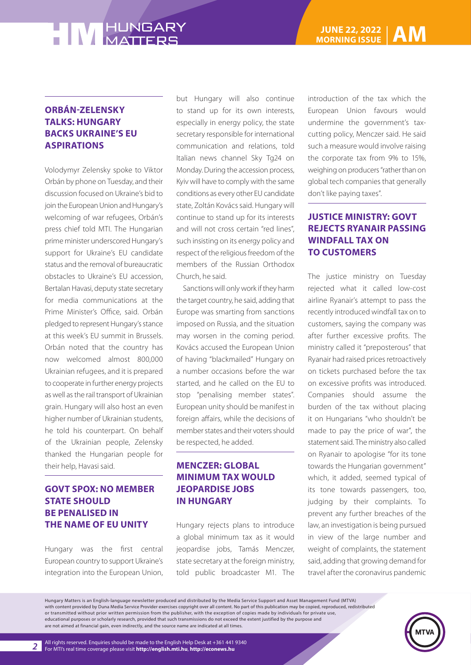#### **ORBÁN-ZELENSKY TALKS: HUNGARY BACKS UKRAINE'S EU ASPIRATIONS**

Volodymyr Zelensky spoke to Viktor Orbán by phone on Tuesday, and their discussion focused on Ukraine's bid to join the European Union and Hungary's welcoming of war refugees, Orbán's press chief told MTI. The Hungarian prime minister underscored Hungary's support for Ukraine's EU candidate status and the removal of bureaucratic obstacles to Ukraine's EU accession, Bertalan Havasi, deputy state secretary for media communications at the Prime Minister's Office, said. Orbán pledged to represent Hungary's stance at this week's EU summit in Brussels. Orbán noted that the country has now welcomed almost 800,000 Ukrainian refugees, and it is prepared to cooperate in further energy projects as well as the rail transport of Ukrainian grain. Hungary will also host an even higher number of Ukrainian students, he told his counterpart. On behalf of the Ukrainian people, Zelensky thanked the Hungarian people for their help, Havasi said.

#### **GOVT SPOX: NO MEMBER STATE SHOULD BE PENALISED IN THE NAME OF EU UNITY**

Hungary was the first central European country to support Ukraine's integration into the European Union, but Hungary will also continue to stand up for its own interests, especially in energy policy, the state secretary responsible for international communication and relations, told Italian news channel Sky Tg24 on Monday. During the accession process, Kyiv will have to comply with the same conditions as every other EU candidate state, Zoltán Kovács said. Hungary will continue to stand up for its interests and will not cross certain "red lines", such insisting on its energy policy and respect of the religious freedom of the members of the Russian Orthodox Church, he said.

Sanctions will only work if they harm the target country, he said, adding that Europe was smarting from sanctions imposed on Russia, and the situation may worsen in the coming period. Kovács accused the European Union of having "blackmailed" Hungary on a number occasions before the war started, and he called on the EU to stop "penalising member states". European unity should be manifest in foreign affairs, while the decisions of member states and their voters should be respected, he added.

#### **MENCZER: GLOBAL MINIMUM TAX WOULD JEOPARDISE JOBS IN HUNGARY**

Hungary rejects plans to introduce a global minimum tax as it would jeopardise jobs, Tamás Menczer, state secretary at the foreign ministry, told public broadcaster M1. The

introduction of the tax which the European Union favours would undermine the government's taxcutting policy, Menczer said. He said such a measure would involve raising the corporate tax from 9% to 15%, weighing on producers "rather than on global tech companies that generally don't like paying taxes".

#### **JUSTICE MINISTRY: GOVT REJECTS RYANAIR PASSING WINDFALL TAX ON TO CUSTOMERS**

The justice ministry on Tuesday rejected what it called low-cost airline Ryanair's attempt to pass the recently introduced windfall tax on to customers, saying the company was after further excessive profits. The ministry called it "preposterous" that Ryanair had raised prices retroactively on tickets purchased before the tax on excessive profits was introduced. Companies should assume the burden of the tax without placing it on Hungarians "who shouldn't be made to pay the price of war", the statement said. The ministry also called on Ryanair to apologise "for its tone towards the Hungarian government" which, it added, seemed typical of its tone towards passengers, too, judging by their complaints. To prevent any further breaches of the law, an investigation is being pursued in view of the large number and weight of complaints, the statement said, adding that growing demand for travel after the coronavirus pandemic

Hungary Matters is an English-language newsletter produced and distributed by the Media Service Support and Asset Management Fund (MTVA) with content provided by Duna Media Service Provider exercises copyright over all content. No part of this publication may be copied, reproduced, redistributed or transmitted without prior written permission from the publisher, with the exception of copies made by individuals for private use, educational purposes or scholarly research, provided that such transmissions do not exceed the extent justified by the purpose and are not aimed at financial gain, even indirectly, and the source name are indicated at all times.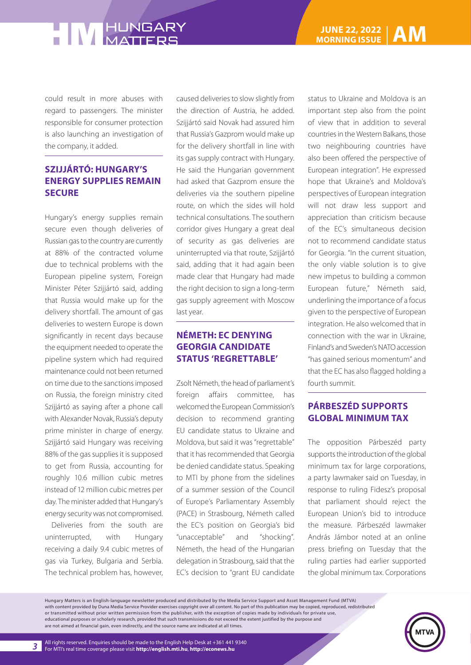could result in more abuses with regard to passengers. The minister responsible for consumer protection is also launching an investigation of the company, it added.

#### **SZIJJÁRTÓ: HUNGARY'S ENERGY SUPPLIES REMAIN SECURE**

Hungary's energy supplies remain secure even though deliveries of Russian gas to the country are currently at 88% of the contracted volume due to technical problems with the European pipeline system, Foreign Minister Péter Szijjártó said, adding that Russia would make up for the delivery shortfall. The amount of gas deliveries to western Europe is down significantly in recent days because the equipment needed to operate the pipeline system which had required maintenance could not been returned on time due to the sanctions imposed on Russia, the foreign ministry cited Szijjártó as saying after a phone call with Alexander Novak, Russia's deputy prime minister in charge of energy. Szijjártó said Hungary was receiving 88% of the gas supplies it is supposed to get from Russia, accounting for roughly 10.6 million cubic metres instead of 12 million cubic metres per day. The minister added that Hungary's energy security was not compromised.

Deliveries from the south are uninterrupted, with Hungary receiving a daily 9.4 cubic metres of gas via Turkey, Bulgaria and Serbia. The technical problem has, however, caused deliveries to slow slightly from the direction of Austria, he added. Szijjártó said Novak had assured him that Russia's Gazprom would make up for the delivery shortfall in line with its gas supply contract with Hungary. He said the Hungarian government had asked that Gazprom ensure the deliveries via the southern pipeline route, on which the sides will hold technical consultations. The southern corridor gives Hungary a great deal of security as gas deliveries are uninterrupted via that route, Szijjártó said, adding that it had again been made clear that Hungary had made the right decision to sign a long-term gas supply agreement with Moscow last year.

#### **NÉMETH: EC DENYING GEORGIA CANDIDATE STATUS 'REGRETTABLE'**

Zsolt Németh, the head of parliament's foreign affairs committee, has welcomed the European Commission's decision to recommend granting EU candidate status to Ukraine and Moldova, but said it was "regrettable" that it has recommended that Georgia be denied candidate status. Speaking to MTI by phone from the sidelines of a summer session of the Council of Europe's Parliamentary Assembly (PACE) in Strasbourg, Németh called the EC's position on Georgia's bid "unacceptable" and "shocking". Németh, the head of the Hungarian delegation in Strasbourg, said that the EC's decision to "grant EU candidate

status to Ukraine and Moldova is an important step also from the point of view that in addition to several countries in the Western Balkans, those two neighbouring countries have also been offered the perspective of European integration". He expressed hope that Ukraine's and Moldova's perspectives of European integration will not draw less support and appreciation than criticism because of the EC's simultaneous decision not to recommend candidate status for Georgia. "In the current situation, the only viable solution is to give new impetus to building a common European future," Németh said, underlining the importance of a focus given to the perspective of European integration. He also welcomed that in connection with the war in Ukraine, Finland's and Sweden's NATO accession "has gained serious momentum" and that the EC has also flagged holding a fourth summit.

#### **PÁRBESZÉD SUPPORTS GLOBAL MINIMUM TAX**

The opposition Párbeszéd party supports the introduction of the global minimum tax for large corporations, a party lawmaker said on Tuesday, in response to ruling Fidesz's proposal that parliament should reject the European Union's bid to introduce the measure. Párbeszéd lawmaker András Jámbor noted at an online press briefing on Tuesday that the ruling parties had earlier supported the global minimum tax. Corporations

Hungary Matters is an English-language newsletter produced and distributed by the Media Service Support and Asset Management Fund (MTVA) with content provided by Duna Media Service Provider exercises copyright over all content. No part of this publication may be copied, reproduced, redistributed or transmitted without prior written permission from the publisher, with the exception of copies made by individuals for private use, educational purposes or scholarly research, provided that such transmissions do not exceed the extent justified by the purpose and are not aimed at financial gain, even indirectly, and the source name are indicated at all times.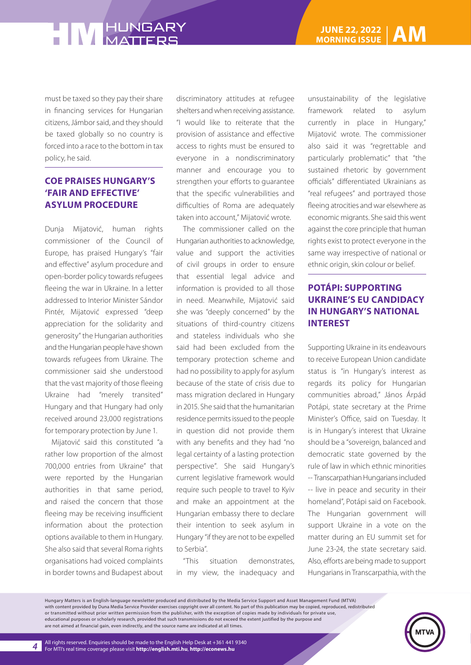must be taxed so they pay their share in financing services for Hungarian citizens, Jámbor said, and they should be taxed globally so no country is forced into a race to the bottom in tax policy, he said.

#### **COE PRAISES HUNGARY'S 'FAIR AND EFFECTIVE' ASYLUM PROCEDURE**

Dunja Mijatović, human rights commissioner of the Council of Europe, has praised Hungary's "fair and effective" asylum procedure and open-border policy towards refugees fleeing the war in Ukraine. In a letter addressed to Interior Minister Sándor Pintér, Mijatović expressed "deep appreciation for the solidarity and generosity" the Hungarian authorities and the Hungarian people have shown towards refugees from Ukraine. The commissioner said she understood that the vast majority of those fleeing Ukraine had "merely transited" Hungary and that Hungary had only received around 23,000 registrations for temporary protection by June 1.

Mijatović said this constituted "a rather low proportion of the almost 700,000 entries from Ukraine" that were reported by the Hungarian authorities in that same period, and raised the concern that those fleeing may be receiving insufficient information about the protection options available to them in Hungary. She also said that several Roma rights organisations had voiced complaints in border towns and Budapest about

discriminatory attitudes at refugee shelters and when receiving assistance. "I would like to reiterate that the provision of assistance and effective access to rights must be ensured to everyone in a nondiscriminatory manner and encourage you to strengthen your efforts to guarantee that the specific vulnerabilities and difficulties of Roma are adequately taken into account," Mijatović wrote.

The commissioner called on the Hungarian authorities to acknowledge, value and support the activities of civil groups in order to ensure that essential legal advice and information is provided to all those in need. Meanwhile, Mijatović said she was "deeply concerned" by the situations of third-country citizens and stateless individuals who she said had been excluded from the temporary protection scheme and had no possibility to apply for asylum because of the state of crisis due to mass migration declared in Hungary in 2015. She said that the humanitarian residence permits issued to the people in question did not provide them with any benefits and they had "no legal certainty of a lasting protection perspective". She said Hungary's current legislative framework would require such people to travel to Kyiv and make an appointment at the Hungarian embassy there to declare their intention to seek asylum in Hungary "if they are not to be expelled to Serbia".

"This situation demonstrates, in my view, the inadequacy and unsustainability of the legislative framework related to asylum currently in place in Hungary," Mijatović wrote. The commissioner also said it was "regrettable and particularly problematic" that "the sustained rhetoric by government officials" differentiated Ukrainians as "real refugees" and portrayed those fleeing atrocities and war elsewhere as economic migrants. She said this went against the core principle that human rights exist to protect everyone in the same way irrespective of national or ethnic origin, skin colour or belief.

#### **POTÁPI: SUPPORTING UKRAINE'S EU CANDIDACY IN HUNGARY'S NATIONAL INTEREST**

Supporting Ukraine in its endeavours to receive European Union candidate status is "in Hungary's interest as regards its policy for Hungarian communities abroad," János Árpád Potápi, state secretary at the Prime Minister's Office, said on Tuesday. It is in Hungary's interest that Ukraine should be a "sovereign, balanced and democratic state governed by the rule of law in which ethnic minorities -- Transcarpathian Hungarians included -- live in peace and security in their homeland", Potápi said on Facebook. The Hungarian government will support Ukraine in a vote on the matter during an EU summit set for June 23-24, the state secretary said. Also, efforts are being made to support Hungarians in Transcarpathia, with the

Hungary Matters is an English-language newsletter produced and distributed by the Media Service Support and Asset Management Fund (MTVA) with content provided by Duna Media Service Provider exercises copyright over all content. No part of this publication may be copied, reproduced, redistributed or transmitted without prior written permission from the publisher, with the exception of copies made by individuals for private use, educational purposes or scholarly research, provided that such transmissions do not exceed the extent justified by the purpose and are not aimed at financial gain, even indirectly, and the source name are indicated at all times.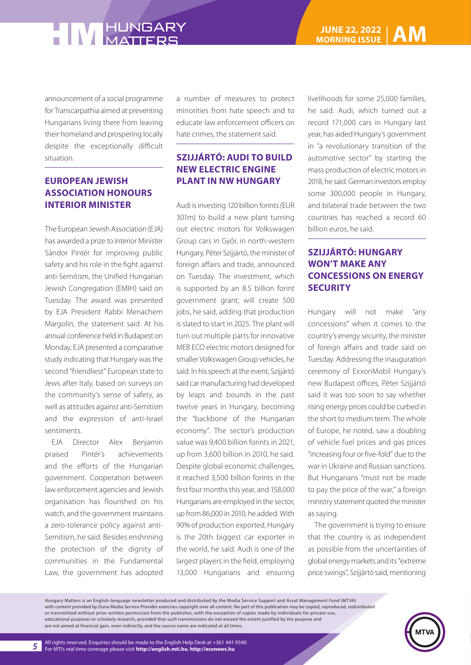announcement of a social programme for Transcarpathia aimed at preventing Hungarians living there from leaving their homeland and prospering locally despite the exceptionally difficult situation.

#### **EUROPEAN JEWISH ASSOCIATION HONOURS INTERIOR MINISTER**

The European Jewish Association (EJA) has awarded a prize to Interior Minister Sándor Pintér for improving public safety and his role in the fight against anti-Semitism, the Unified Hungarian Jewish Congregation (EMIH) said on Tuesday. The award was presented by EJA President Rabbi Menachem Margolin, the statement said. At his annual conference held in Budapest on Monday, EJA presented a comparative study indicating that Hungary was the second "friendliest" European state to Jews after Italy, based on surveys on the community's sense of safety, as well as attitudes against anti-Semitism and the expression of anti-Israel sentiments.

EJA Director Alex Benjamin praised Pintér's achievements and the efforts of the Hungarian government. Cooperation between law enforcement agencies and Jewish organisation has flourished on his watch, and the government maintains a zero-tolerance policy against anti-Semitism, he said. Besides enshrining the protection of the dignity of communities in the Fundamental Law, the government has adopted a number of measures to protect minorities from hate speech and to educate law enforcement officers on hate crimes, the statement said.

#### **SZIJJÁRTÓ: AUDI TO BUILD NEW ELECTRIC ENGINE PLANT IN NW HUNGARY**

Audi is investing 120 billion forints (EUR 301m) to build a new plant turning out electric motors for Volkswagen Group cars in Győr, in north-western Hungary, Péter Szijjártó, the minister of foreign affairs and trade, announced on Tuesday. The investment, which is supported by an 8.5 billion forint government grant, will create 500 jobs, he said, adding that production is slated to start in 2025. The plant will turn out multiple parts for innovative MEB ECO electric motors designed for smaller Volkswagen Group vehicles, he said. In his speech at the event, Szijjártó said car manufacturing had developed by leaps and bounds in the past twelve years in Hungary, becoming the "backbone of the Hungarian economy". The sector's production value was 9,400 billion forints in 2021, up from 3,600 billion in 2010, he said. Despite global economic challenges, it reached 3,500 billion forints in the first four months this year, and 158,000 Hungarians are employed in the sector, up from 86,000 in 2010, he added. With 90% of production exported, Hungary is the 20th biggest car exporter in the world, he said. Audi is one of the largest players in the field, employing 13,000 Hungarians and ensuring

livelihoods for some 25,000 families, he said. Audi, which turned out a record 171,000 cars in Hungary last year, has aided Hungary's government in "a revolutionary transition of the automotive sector" by starting the mass production of electric motors in 2018, he said. German investors employ some 300,000 people in Hungary, and bilateral trade between the two countries has reached a record 60 billion euros, he said.

#### **SZIJJÁRTÓ: HUNGARY WON'T MAKE ANY CONCESSIONS ON ENERGY SECURITY**

Hungary will not make "any concessions" when it comes to the country's energy security, the minister of foreign affairs and trade said on Tuesday. Addressing the inauguration ceremony of ExxonMobil Hungary's new Budapest offices, Péter Szijjártó said it was too soon to say whether rising energy prices could be curbed in the short to medium term. The whole of Europe, he noted, saw a doubling of vehicle fuel prices and gas prices "increasing four or five-fold" due to the war in Ukraine and Russian sanctions. But Hungarians "must not be made to pay the price of the war," a foreign ministry statement quoted the minister as saying.

The government is trying to ensure that the country is as independent as possible from the uncertainties of global energy markets and its "extreme price swings", Szijjártó said, mentioning

Hungary Matters is an English-language newsletter produced and distributed by the Media Service Support and Asset Management Fund (MTVA) with content provided by Duna Media Service Provider exercises copyright over all content. No part of this publication may be copied, reproduced, redistributed or transmitted without prior written permission from the publisher, with the exception of copies made by individuals for private use, educational purposes or scholarly research, provided that such transmissions do not exceed the extent justified by the purpose and are not aimed at financial gain, even indirectly, and the source name are indicated at all times.